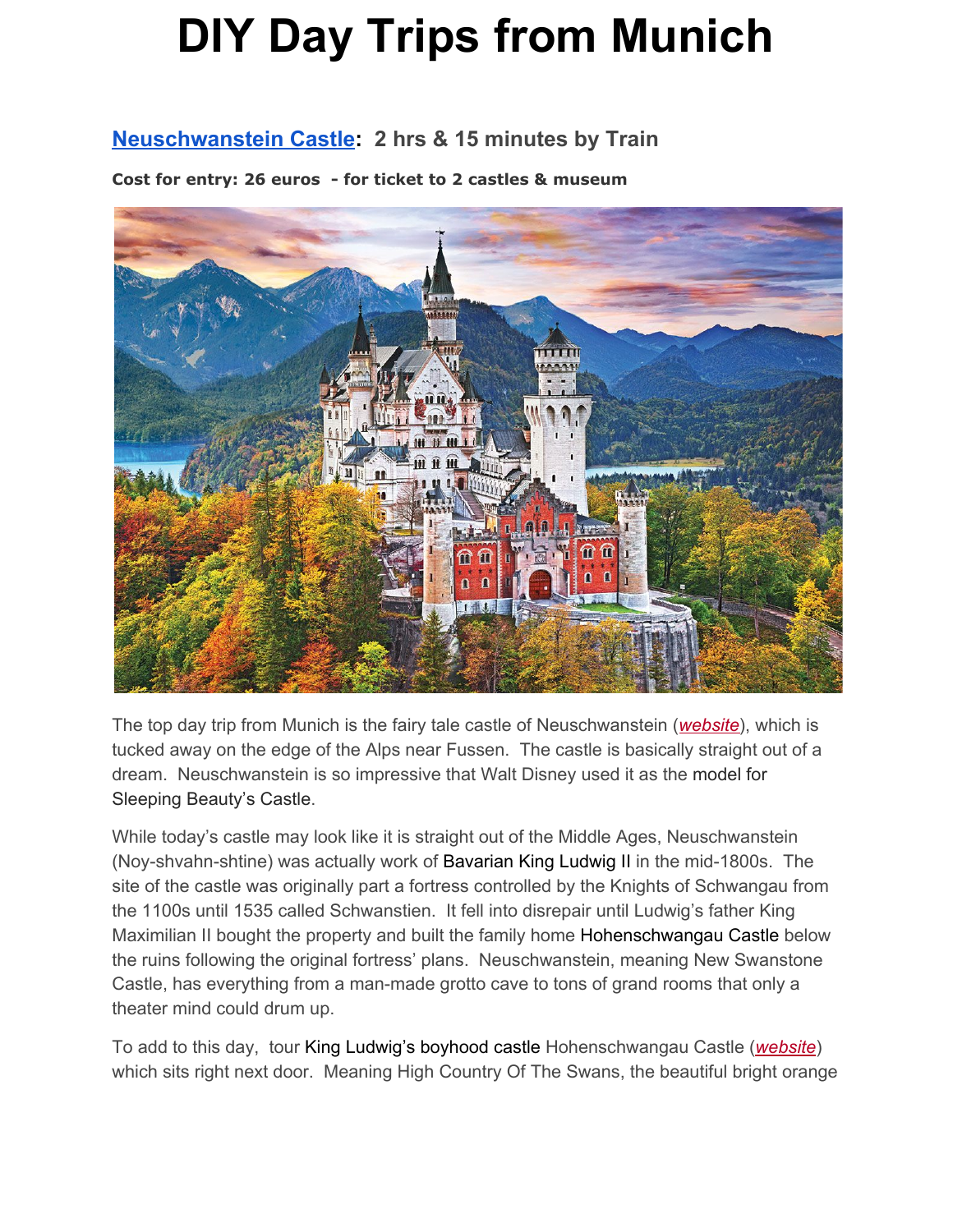#### **[Neuschwanstein](http://www.neuschwanstein.de/englisch/palace/) Castle: 2 hrs & 15 minutes by Train**

**Cost for entry: 26 euros - for ticket to 2 castles & museum**



The top day trip from Munich is the fairy tale castle of Neuschwanstein (*[website](http://www.neuschwanstein.de/englisch/palace/index.htm)*), which is tucked away on the edge of the Alps near Fussen. The castle is basically straight out of a dream. Neuschwanstein is so impressive that Walt Disney used it as the model for Sleeping Beauty's Castle.

While today's castle may look like it is straight out of the Middle Ages, Neuschwanstein (Noy-shvahn-shtine) was actually work of Bavarian King Ludwig II in the mid-1800s. The site of the castle was originally part a fortress controlled by the Knights of Schwangau from the 1100s until 1535 called Schwanstien. It fell into disrepair until Ludwig's father King Maximilian II bought the property and built the family home Hohenschwangau Castle below the ruins following the original fortress' plans. Neuschwanstein, meaning New Swanstone Castle, has everything from a man-made grotto cave to tons of grand rooms that only a theater mind could drum up.

To add to this day, tour King Ludwig's boyhood castle Hohenschwangau Castle (*[website](http://www.hohenschwangau.de/index.php?id=430)*) which sits right next door. Meaning High Country Of The Swans, the beautiful bright orange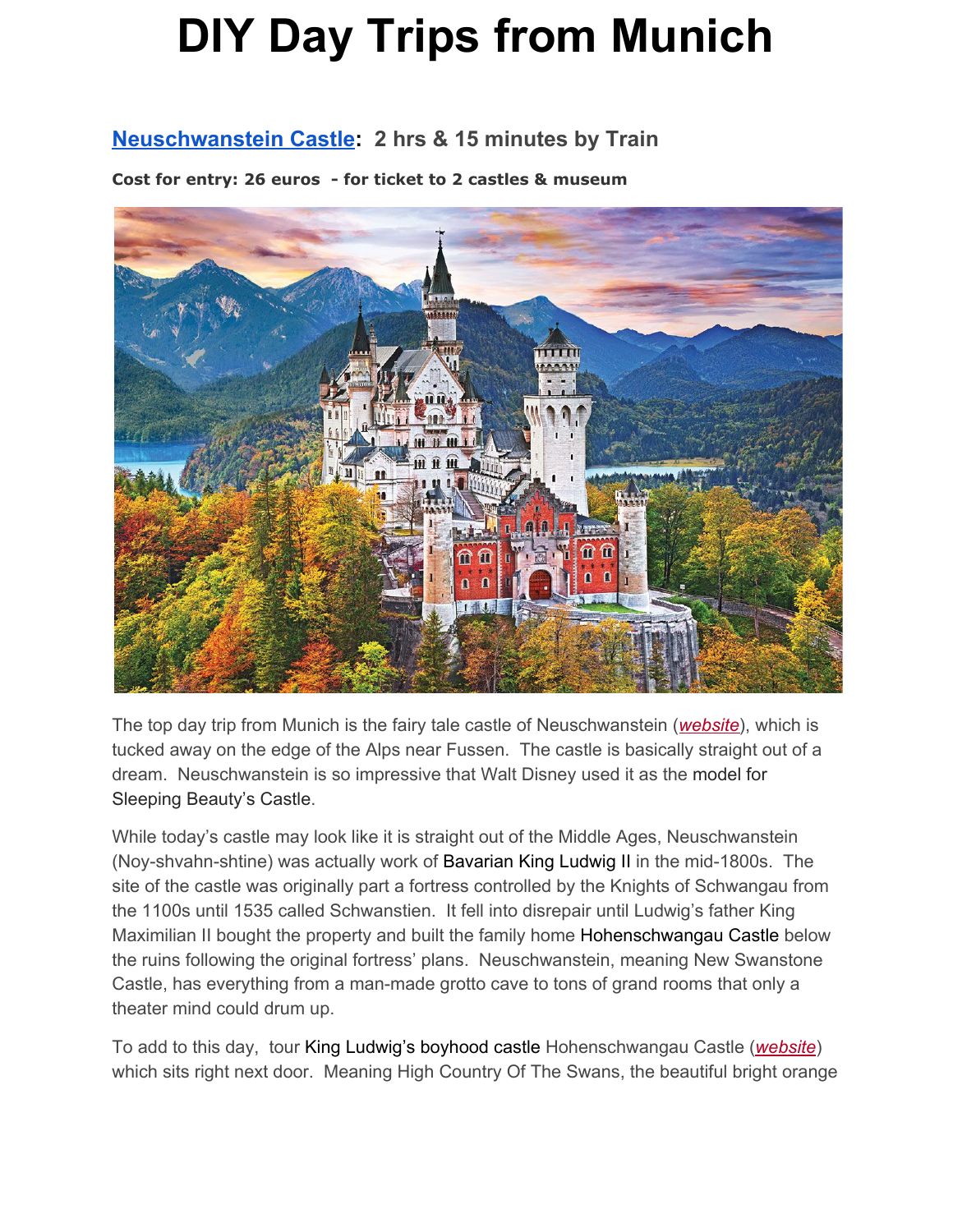Hohenschwangau (Ho-en-shvahn-gau) was built by Ludwig's father King Maximilian II following the plans of the former fortress of the Knights of Schwangau.

**Getting Here From Munich:** Take train directly from Munich to Füssen (2:05) then either Bus 73 or 78 directly to the Castles' ticket office (0:10).

**Cost: estimate of 50 euro for a round trip train ticket.**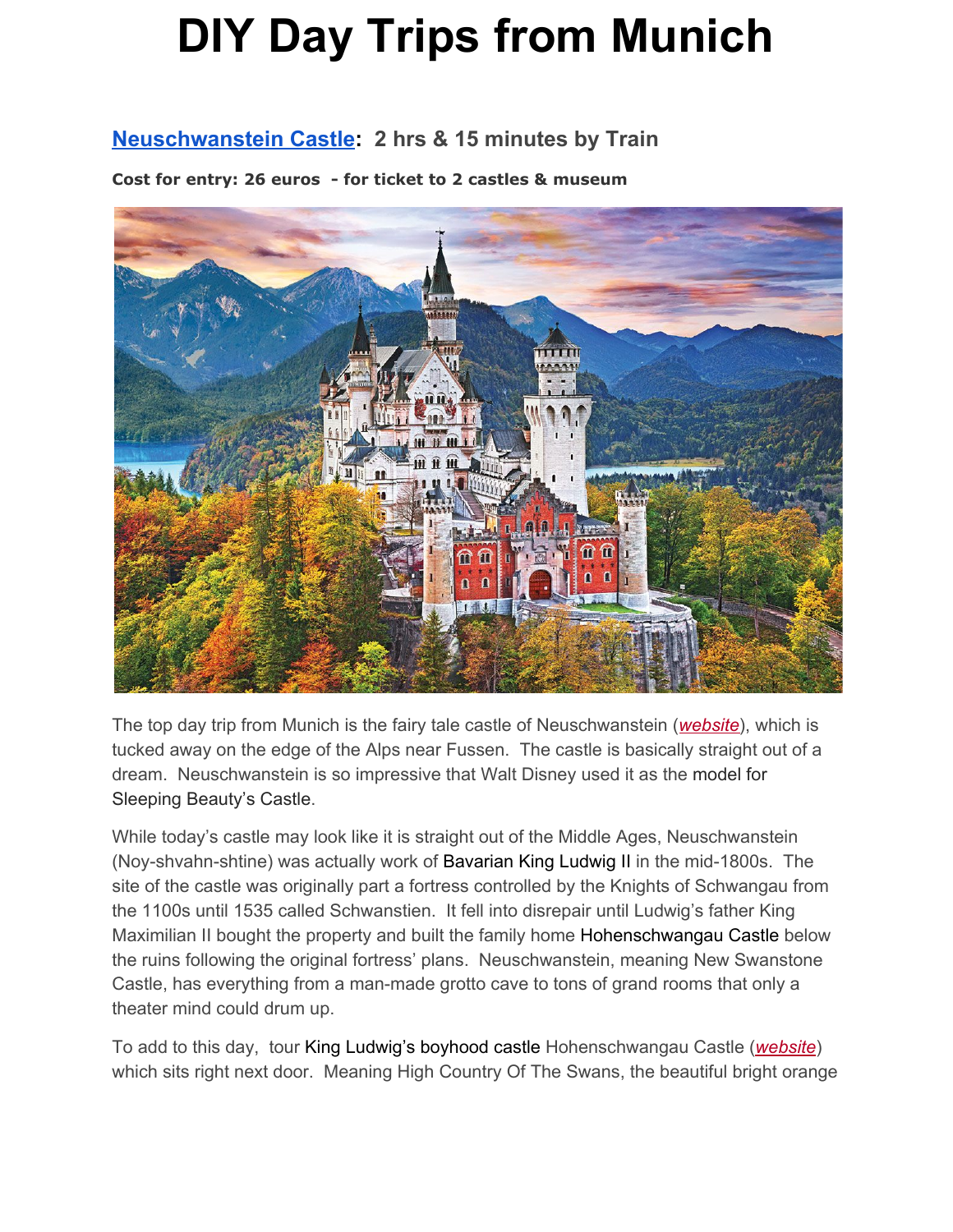### **Dachau [Concentration](https://www.kz-gedenkstaette-dachau.de/index-e.html) Camp: 1 hour train & bus**

**Cost: 4 euro 2 & 1/2 tour: English tours at 11am & 1pm.**



Located near Munich and once a Nazi Labor Camp, the sight is now a chilling reminder of the horrors of the Holocaust. Overall the site does a great job serving as a outstanding museum and memorial for life as it was on the camp and the hardships endured. You can visit the memorial for free or book a guided tour or use an audio guide while visiting.

**Getting Here from Munich:** Takes 40 minutes from Munich with a transfer. Take train line

**Cost: 15 euro for train & bus to camp - estimated 30 euro round-trip**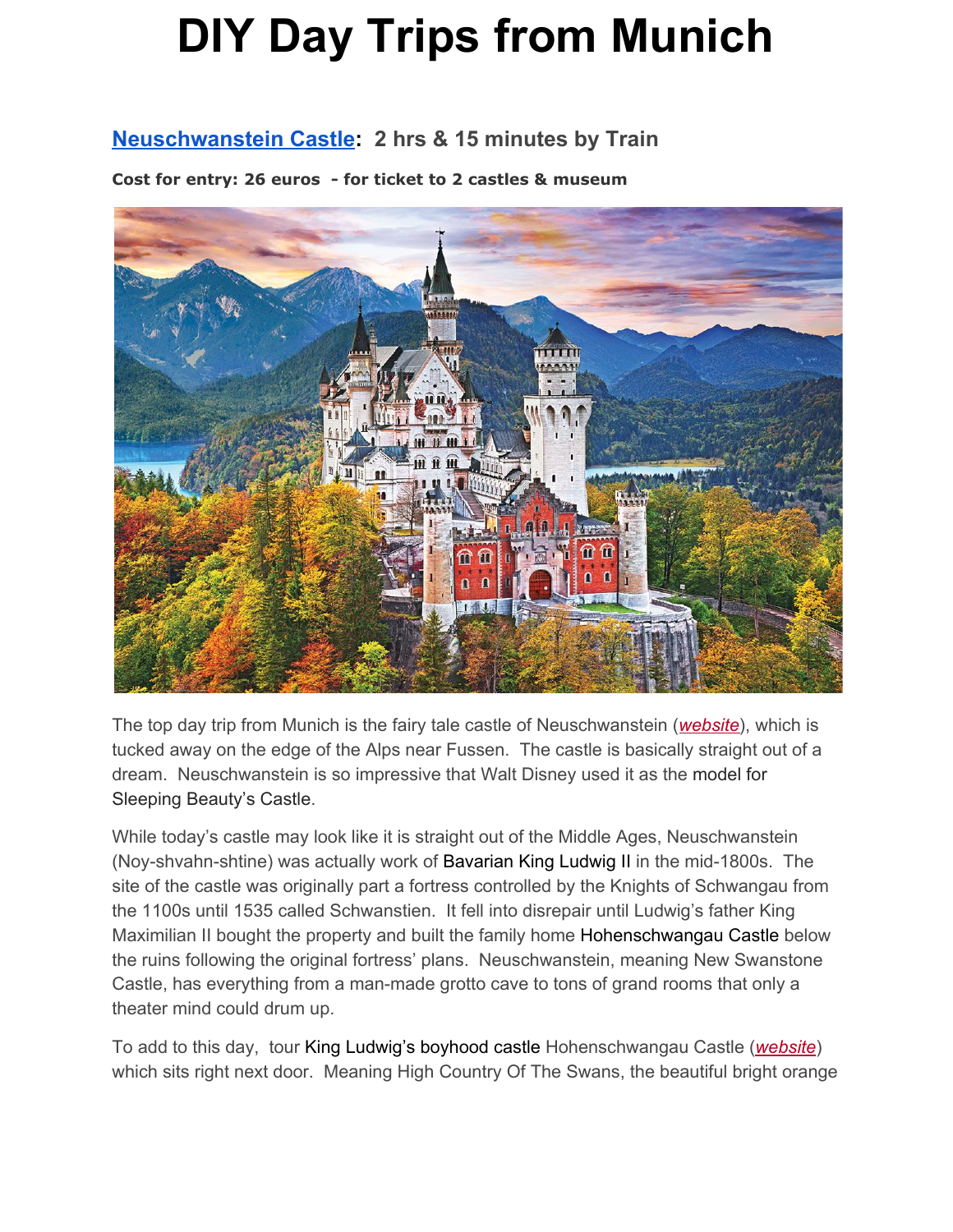### **[Landsberg](https://www.google.com/search?q=Landsberg+am+Lech&tbm=isch&tbo=u&source=univ&sa=X&ved=0ahUKEwixjLWJoIjaAhUBmlkKHcz3A4wQsAQIYw&biw=1131&bih=589) am Lech - 50 minutes by Train**

**Cost: free to enter town**



This small mid-evil city is a great getaway if you want to experience an authentic Bavarian feel without the flocks of tourists. Large portions of the midevil city walls and gates are still intact and most of the city's buildings still have colorful, traditional facades. The city is also littered with many beautiful towers: The [Schmalzturm](https://www.google.com/search?q=The+Schmalzturm+Tower&source=lnms&tbm=isch&sa=X&ved=0ahUKEwjRm8fGpYjaAhVMs1kKHTAaBaMQ_AUICygC&biw=1131&bih=589) Tower which lies in the Witches Quarter was named for its beautiful tiled roof and is the cities oldest tower built in 1260. The romantic Mother's Tower (Mutterturm) at the Herkomer Museum on the West side of river is the newest built in 1888. The beautiful Bayertor tower on the Eastern city wall, and the Northern wall's gate Sandauer Tor & tall Dachlturm tower overlooking the city. The city is maybe most famous for being where Adolf Hitler was incarcerated for 9 months in 1924 and wrote/dictated his book Mein Kampf which served as a foundation for the Nazi Party. The city ended up being home to a large concentration camp during World War II.

**Getting Here from Munich**: takes 50 minutes and may require a train transfer in Kaufering. **Cost: 40 euro round trip**